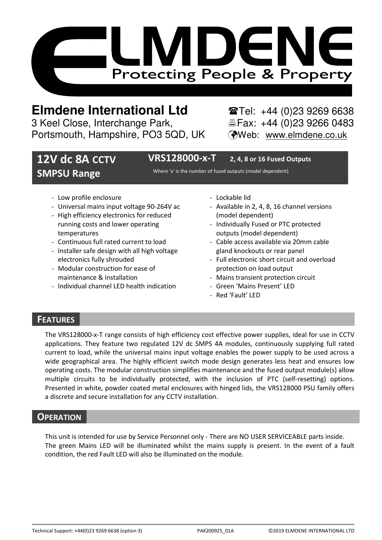

# **Elmdene International Ltd** Tel: +44 (0)23 9269 6638

3 Keel Close, Interchange Park, Electric Fax: +44 (0)23 9266 0483 Portsmouth, Hampshire, PO3 5QD, UK (Web: www.elmdene.co.uk

## **12V dc 8A CCTV SMPSU Range**

**VRS128000-x-T 2, 4, 8 or 16 Fused Outputs** 

Where 'x' is the number of fused outputs (model dependent)

- Low profile enclosure
- Universal mains input voltage 90-264V ac
- High efficiency electronics for reduced running costs and lower operating temperatures
- Continuous full rated current to load
- Installer safe design with all high voltage electronics fully shrouded
- Modular construction for ease of maintenance & installation
- Individual channel LED health indication
- Lockable lid
- Available in 2, 4, 8, 16 channel versions (model dependent)
- Individually Fused or PTC protected outputs (model dependent)
- Cable access available via 20mm cable gland knockouts or rear panel
- Full electronic short circuit and overload protection on load output
- Mains transient protection circuit
- Green 'Mains Present' LED
- Red 'Fault' LED

## **FEATURES**

The VRS128000-x-T range consists of high efficiency cost effective power supplies, ideal for use in CCTV applications. They feature two regulated 12V dc SMPS 4A modules, continuously supplying full rated current to load, while the universal mains input voltage enables the power supply to be used across a wide geographical area. The highly efficient switch mode design generates less heat and ensures low operating costs. The modular construction simplifies maintenance and the fused output module(s) allow multiple circuits to be individually protected, with the inclusion of PTC (self-resetting) options. Presented in white, powder coated metal enclosures with hinged lids, the VRS128000 PSU family offers a discrete and secure installation for any CCTV installation.

## **OPERATION**

This unit is intended for use by Service Personnel only - There are NO USER SERVICEABLE parts inside. The green Mains LED will be illuminated whilst the mains supply is present. In the event of a fault condition, the red Fault LED will also be illuminated on the module.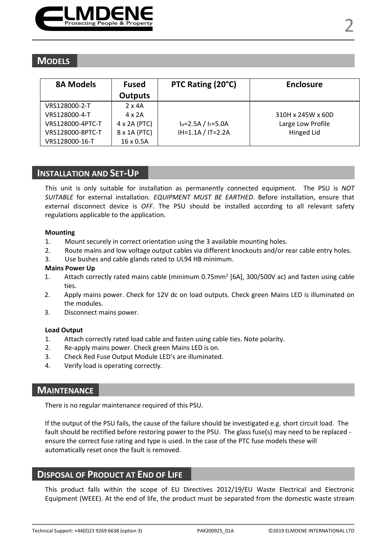

| <b>8A Models</b> | <b>Fused</b>        | PTC Rating (20°C)         | <b>Enclosure</b>  |
|------------------|---------------------|---------------------------|-------------------|
|                  | <b>Outputs</b>      |                           |                   |
| VRS128000-2-T    | $2 \times 4A$       |                           |                   |
| VRS128000-4-T    | $4 \times 2A$       |                           | 310H x 245W x 60D |
| VRS128000-4PTC-T | $4 \times 2A$ (PTC) | $I_H = 2.5A / I_T = 5.0A$ | Large Low Profile |
| VRS128000-8PTC-T | 8 x 1A (PTC)        | $IH=1.1A / IT=2.2A$       | Hinged Lid        |
| VRS128000-16-T   | 16 x 0.5A           |                           |                   |

#### **INSTALLATION AND SET-UP**

This unit is only suitable for installation as permanently connected equipment. The PSU is *NOT SUITABLE* for external installation*. EQUIPMENT MUST BE EARTHED*. Before installation, ensure that external disconnect device is *OFF*. The PSU should be installed according to all relevant safety regulations applicable to the application.

#### **Mounting**

- 1. Mount securely in correct orientation using the 3 available mounting holes.
- 2. Route mains and low voltage output cables via different knockouts and/or rear cable entry holes.
- 3. Use bushes and cable glands rated to UL94 HB minimum.

#### **Mains Power Up**

- 1. Attach correctly rated mains cable (minimum 0.75mm<sup>2</sup> [6A], 300/500V ac) and fasten using cable ties.
- 2. Apply mains power. Check for 12V dc on load outputs. Check green Mains LED is illuminated on the modules.
- 3. Disconnect mains power.

#### **Load Output**

- 1. Attach correctly rated load cable and fasten using cable ties. Note polarity.
- 2. Re-apply mains power. Check green Mains LED is on.
- 3. Check Red Fuse Output Module LED's are illuminated.
- 4. Verify load is operating correctly.

## **MAINTENANCE**

There is no regular maintenance required of this PSU.

If the output of the PSU fails, the cause of the failure should be investigated e.g. short circuit load. The fault should be rectified before restoring power to the PSU. The glass fuse(s) may need to be replaced ensure the correct fuse rating and type is used. In the case of the PTC fuse models these will automatically reset once the fault is removed.

## **DISPOSAL OF PRODUCT AT END OF LIFE**

This product falls within the scope of EU Directives 2012/19/EU Waste Electrical and Electronic Equipment (WEEE). At the end of life, the product must be separated from the domestic waste stream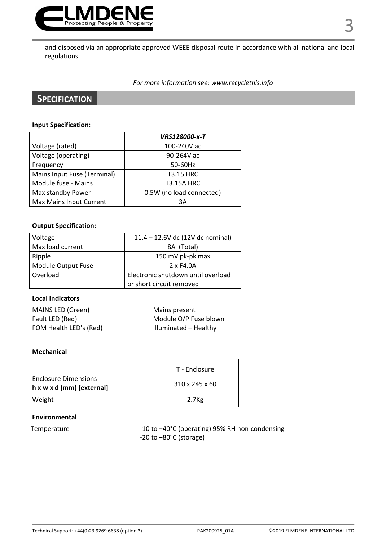

and disposed via an appropriate approved WEEE disposal route in accordance with all national and local regulations.

#### *For more information see: www.recyclethis.info*

## **SPECIFICATION**

#### **Input Specification:**

|                             | VRS128000-x-T            |
|-----------------------------|--------------------------|
| Voltage (rated)             | 100-240V ac              |
| Voltage (operating)         | 90-264V ac               |
| Frequency                   | 50-60Hz                  |
| Mains Input Fuse (Terminal) | <b>T3.15 HRC</b>         |
| Module fuse - Mains         | <b>T3.15A HRC</b>        |
| Max standby Power           | 0.5W (no load connected) |
| Max Mains Input Current     | 3A                       |

#### **Output Specification:**

| Voltage            | 11.4 - 12.6V dc (12V dc nominal)   |  |
|--------------------|------------------------------------|--|
| Max load current   | 8A (Total)                         |  |
| Ripple             | 150 mV pk-pk max                   |  |
| Module Output Fuse | 2 x F4.0A                          |  |
| Overload           | Electronic shutdown until overload |  |
|                    | or short circuit removed           |  |

#### **Local Indicators**

| MAINS LED (Green)      | Mains present         |
|------------------------|-----------------------|
| Fault LED (Red)        | Module O/P Fuse blown |
| FOM Health LED's (Red) | Illuminated - Healthy |

#### **Mechanical**

|                                                                      | T - Enclosure              |
|----------------------------------------------------------------------|----------------------------|
| <b>Enclosure Dimensions</b><br>$h \times w \times d$ (mm) [external] | $310 \times 245 \times 60$ |
| Weight                                                               | 2.7 <sub>Kg</sub>          |

#### **Environmental**

Temperature  $-10$  to +40°C (operating) 95% RH non-condensing -20 to +80°C (storage)